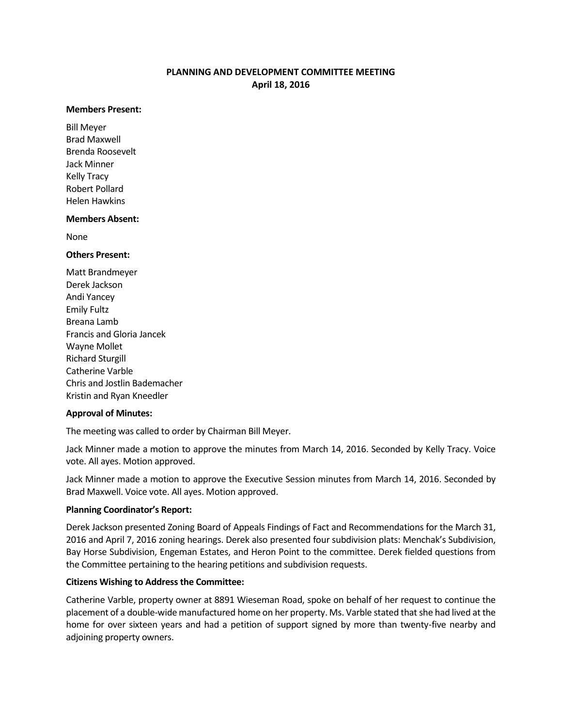# **PLANNING AND DEVELOPMENT COMMITTEE MEETING April 18, 2016**

#### **Members Present:**

Bill Meyer Brad Maxwell Brenda Roosevelt Jack Minner Kelly Tracy Robert Pollard Helen Hawkins

### **Members Absent:**

None

### **Others Present:**

Matt Brandmeyer Derek Jackson Andi Yancey Emily Fultz Breana Lamb Francis and Gloria Jancek Wayne Mollet Richard Sturgill Catherine Varble Chris and Jostlin Bademacher Kristin and Ryan Kneedler

### **Approval of Minutes:**

The meeting was called to order by Chairman Bill Meyer.

Jack Minner made a motion to approve the minutes from March 14, 2016. Seconded by Kelly Tracy. Voice vote. All ayes. Motion approved.

Jack Minner made a motion to approve the Executive Session minutes from March 14, 2016. Seconded by Brad Maxwell. Voice vote. All ayes. Motion approved.

### **Planning Coordinator's Report:**

Derek Jackson presented Zoning Board of Appeals Findings of Fact and Recommendations for the March 31, 2016 and April 7, 2016 zoning hearings. Derek also presented four subdivision plats: Menchak's Subdivision, Bay Horse Subdivision, Engeman Estates, and Heron Point to the committee. Derek fielded questions from the Committee pertaining to the hearing petitions and subdivision requests.

### **Citizens Wishing to Address the Committee:**

Catherine Varble, property owner at 8891 Wieseman Road, spoke on behalf of her request to continue the placement of a double-wide manufactured home on her property. Ms. Varble stated that she had lived at the home for over sixteen years and had a petition of support signed by more than twenty-five nearby and adjoining property owners.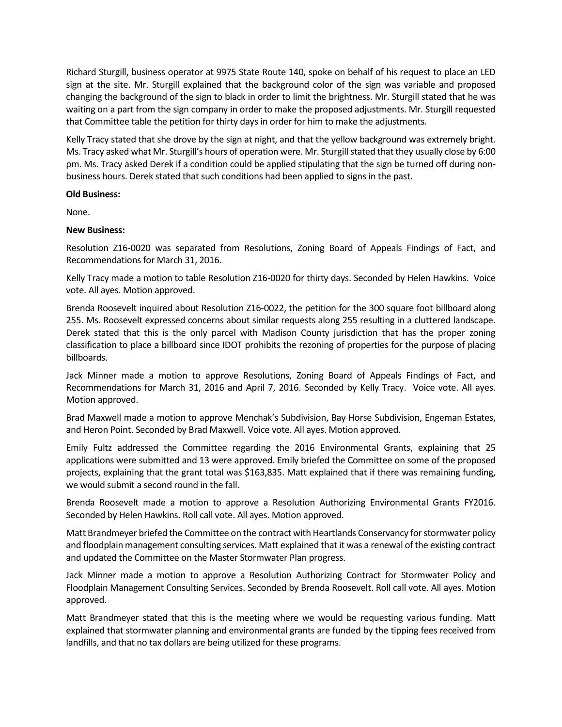Richard Sturgill, business operator at 9975 State Route 140, spoke on behalf of his request to place an LED sign at the site. Mr. Sturgill explained that the background color of the sign was variable and proposed changing the background of the sign to black in order to limit the brightness. Mr. Sturgill stated that he was waiting on a part from the sign company in order to make the proposed adjustments. Mr. Sturgill requested that Committee table the petition for thirty days in order for him to make the adjustments.

Kelly Tracy stated that she drove by the sign at night, and that the yellow background was extremely bright. Ms. Tracy asked what Mr. Sturgill's hours of operation were. Mr. Sturgill stated that they usually close by 6:00 pm. Ms. Tracy asked Derek if a condition could be applied stipulating that the sign be turned off during nonbusiness hours. Derek stated that such conditions had been applied to signs in the past.

## **Old Business:**

None.

## **New Business:**

Resolution Z16-0020 was separated from Resolutions, Zoning Board of Appeals Findings of Fact, and Recommendations for March 31, 2016.

Kelly Tracy made a motion to table Resolution Z16-0020 for thirty days. Seconded by Helen Hawkins. Voice vote. All ayes. Motion approved.

Brenda Roosevelt inquired about Resolution Z16-0022, the petition for the 300 square foot billboard along 255. Ms. Roosevelt expressed concerns about similar requests along 255 resulting in a cluttered landscape. Derek stated that this is the only parcel with Madison County jurisdiction that has the proper zoning classification to place a billboard since IDOT prohibits the rezoning of properties for the purpose of placing billboards.

Jack Minner made a motion to approve Resolutions, Zoning Board of Appeals Findings of Fact, and Recommendations for March 31, 2016 and April 7, 2016. Seconded by Kelly Tracy. Voice vote. All ayes. Motion approved.

Brad Maxwell made a motion to approve Menchak's Subdivision, Bay Horse Subdivision, Engeman Estates, and Heron Point. Seconded by Brad Maxwell. Voice vote. All ayes. Motion approved.

Emily Fultz addressed the Committee regarding the 2016 Environmental Grants, explaining that 25 applications were submitted and 13 were approved. Emily briefed the Committee on some of the proposed projects, explaining that the grant total was \$163,835. Matt explained that if there was remaining funding, we would submit a second round in the fall.

Brenda Roosevelt made a motion to approve a Resolution Authorizing Environmental Grants FY2016. Seconded by Helen Hawkins. Roll call vote. All ayes. Motion approved.

Matt Brandmeyer briefed the Committee on the contract with Heartlands Conservancy for stormwater policy and floodplain management consulting services. Matt explained that it was a renewal of the existing contract and updated the Committee on the Master Stormwater Plan progress.

Jack Minner made a motion to approve a Resolution Authorizing Contract for Stormwater Policy and Floodplain Management Consulting Services. Seconded by Brenda Roosevelt. Roll call vote. All ayes. Motion approved.

Matt Brandmeyer stated that this is the meeting where we would be requesting various funding. Matt explained that stormwater planning and environmental grants are funded by the tipping fees received from landfills, and that no tax dollars are being utilized for these programs.